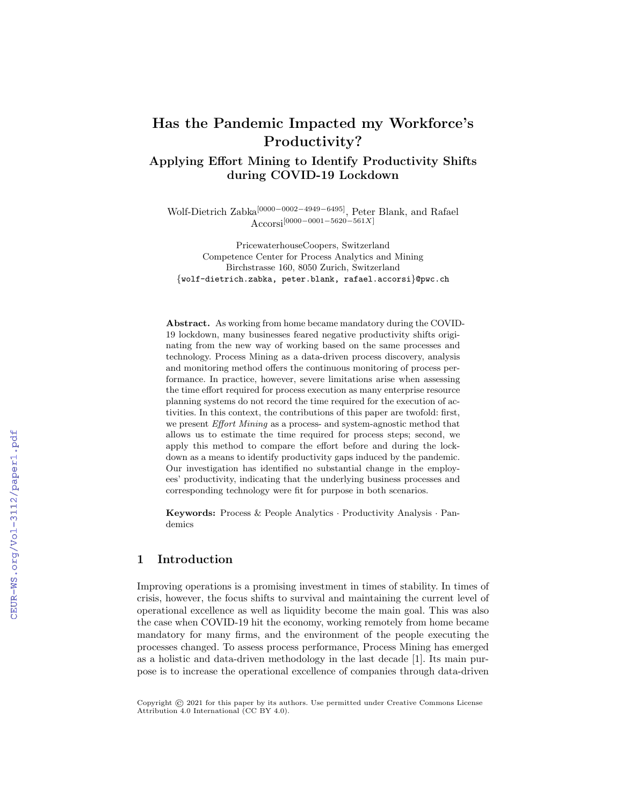# Has the Pandemic Impacted my Workforce's Productivity?

# Applying Effort Mining to Identify Productivity Shifts during COVID-19 Lockdown

Wolf-Dietrich Zabka[0000−0002−4949−6495], Peter Blank, and Rafael Accorsi[0000−0001−5620−561X]

PricewaterhouseCoopers, Switzerland Competence Center for Process Analytics and Mining Birchstrasse 160, 8050 Zurich, Switzerland {wolf-dietrich.zabka, peter.blank, rafael.accorsi}@pwc.ch

Abstract. As working from home became mandatory during the COVID-19 lockdown, many businesses feared negative productivity shifts originating from the new way of working based on the same processes and technology. Process Mining as a data-driven process discovery, analysis and monitoring method offers the continuous monitoring of process performance. In practice, however, severe limitations arise when assessing the time effort required for process execution as many enterprise resource planning systems do not record the time required for the execution of activities. In this context, the contributions of this paper are twofold: first, we present Effort Mining as a process- and system-agnostic method that allows us to estimate the time required for process steps; second, we apply this method to compare the effort before and during the lockdown as a means to identify productivity gaps induced by the pandemic. Our investigation has identified no substantial change in the employees' productivity, indicating that the underlying business processes and corresponding technology were fit for purpose in both scenarios.

Keywords: Process & People Analytics · Productivity Analysis · Pandemics

# 1 Introduction

Improving operations is a promising investment in times of stability. In times of crisis, however, the focus shifts to survival and maintaining the current level of operational excellence as well as liquidity become the main goal. This was also the case when COVID-19 hit the economy, working remotely from home became mandatory for many firms, and the environment of the people executing the processes changed. To assess process performance, Process Mining has emerged as a holistic and data-driven methodology in the last decade [1]. Its main purpose is to increase the operational excellence of companies through data-driven

Copyright © 2021 for this paper by its authors. Use permitted under Creative Commons License Attribution 4.0 International (CC BY 4.0).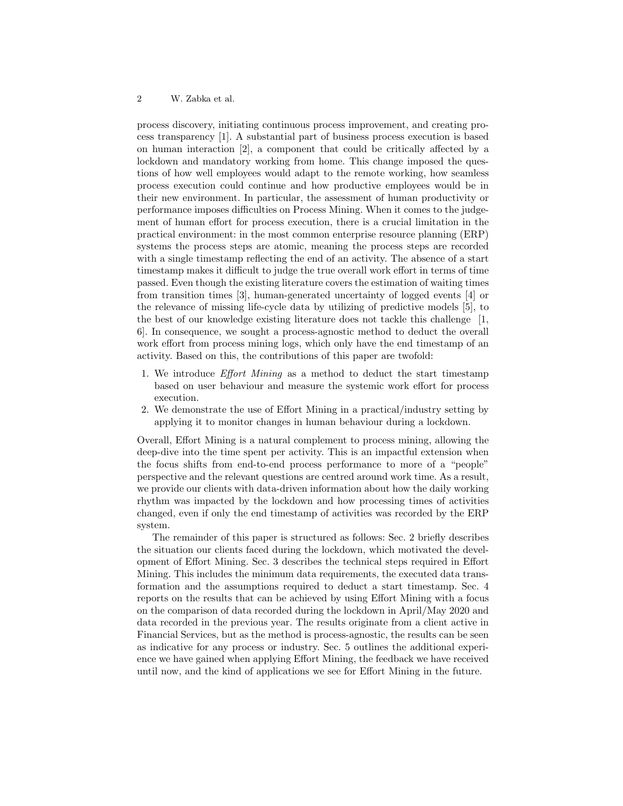process discovery, initiating continuous process improvement, and creating process transparency [1]. A substantial part of business process execution is based on human interaction [2], a component that could be critically affected by a lockdown and mandatory working from home. This change imposed the questions of how well employees would adapt to the remote working, how seamless process execution could continue and how productive employees would be in their new environment. In particular, the assessment of human productivity or performance imposes difficulties on Process Mining. When it comes to the judgement of human effort for process execution, there is a crucial limitation in the practical environment: in the most common enterprise resource planning (ERP) systems the process steps are atomic, meaning the process steps are recorded with a single timestamp reflecting the end of an activity. The absence of a start timestamp makes it difficult to judge the true overall work effort in terms of time passed. Even though the existing literature covers the estimation of waiting times from transition times [3], human-generated uncertainty of logged events [4] or the relevance of missing life-cycle data by utilizing of predictive models [5], to the best of our knowledge existing literature does not tackle this challenge [1, 6]. In consequence, we sought a process-agnostic method to deduct the overall work effort from process mining logs, which only have the end timestamp of an activity. Based on this, the contributions of this paper are twofold:

- 1. We introduce Effort Mining as a method to deduct the start timestamp based on user behaviour and measure the systemic work effort for process execution.
- 2. We demonstrate the use of Effort Mining in a practical/industry setting by applying it to monitor changes in human behaviour during a lockdown.

Overall, Effort Mining is a natural complement to process mining, allowing the deep-dive into the time spent per activity. This is an impactful extension when the focus shifts from end-to-end process performance to more of a "people" perspective and the relevant questions are centred around work time. As a result, we provide our clients with data-driven information about how the daily working rhythm was impacted by the lockdown and how processing times of activities changed, even if only the end timestamp of activities was recorded by the ERP system.

The remainder of this paper is structured as follows: Sec. 2 briefly describes the situation our clients faced during the lockdown, which motivated the development of Effort Mining. Sec. 3 describes the technical steps required in Effort Mining. This includes the minimum data requirements, the executed data transformation and the assumptions required to deduct a start timestamp. Sec. 4 reports on the results that can be achieved by using Effort Mining with a focus on the comparison of data recorded during the lockdown in April/May 2020 and data recorded in the previous year. The results originate from a client active in Financial Services, but as the method is process-agnostic, the results can be seen as indicative for any process or industry. Sec. 5 outlines the additional experience we have gained when applying Effort Mining, the feedback we have received until now, and the kind of applications we see for Effort Mining in the future.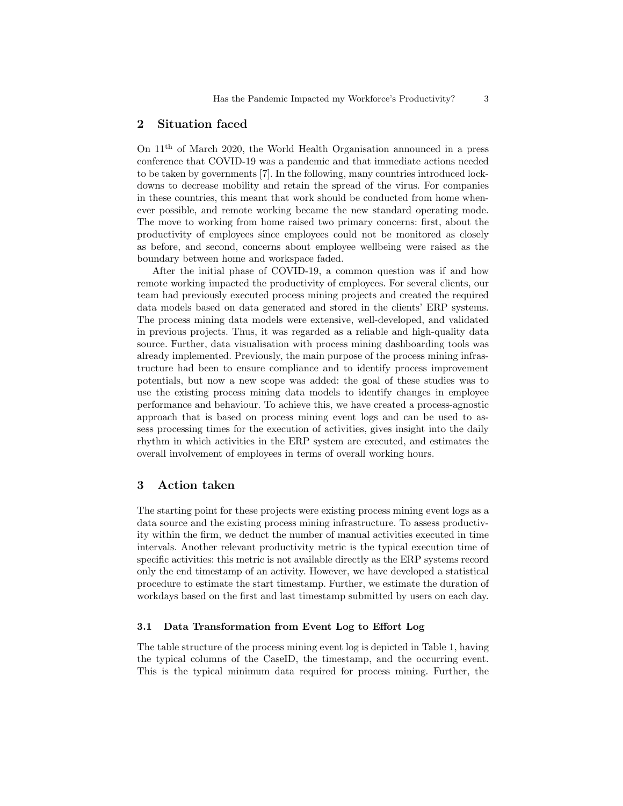# 2 Situation faced

On 11th of March 2020, the World Health Organisation announced in a press conference that COVID-19 was a pandemic and that immediate actions needed to be taken by governments [7]. In the following, many countries introduced lockdowns to decrease mobility and retain the spread of the virus. For companies in these countries, this meant that work should be conducted from home whenever possible, and remote working became the new standard operating mode. The move to working from home raised two primary concerns: first, about the productivity of employees since employees could not be monitored as closely as before, and second, concerns about employee wellbeing were raised as the boundary between home and workspace faded.

After the initial phase of COVID-19, a common question was if and how remote working impacted the productivity of employees. For several clients, our team had previously executed process mining projects and created the required data models based on data generated and stored in the clients' ERP systems. The process mining data models were extensive, well-developed, and validated in previous projects. Thus, it was regarded as a reliable and high-quality data source. Further, data visualisation with process mining dashboarding tools was already implemented. Previously, the main purpose of the process mining infrastructure had been to ensure compliance and to identify process improvement potentials, but now a new scope was added: the goal of these studies was to use the existing process mining data models to identify changes in employee performance and behaviour. To achieve this, we have created a process-agnostic approach that is based on process mining event logs and can be used to assess processing times for the execution of activities, gives insight into the daily rhythm in which activities in the ERP system are executed, and estimates the overall involvement of employees in terms of overall working hours.

# 3 Action taken

The starting point for these projects were existing process mining event logs as a data source and the existing process mining infrastructure. To assess productivity within the firm, we deduct the number of manual activities executed in time intervals. Another relevant productivity metric is the typical execution time of specific activities: this metric is not available directly as the ERP systems record only the end timestamp of an activity. However, we have developed a statistical procedure to estimate the start timestamp. Further, we estimate the duration of workdays based on the first and last timestamp submitted by users on each day.

#### 3.1 Data Transformation from Event Log to Effort Log

The table structure of the process mining event log is depicted in Table 1, having the typical columns of the CaseID, the timestamp, and the occurring event. This is the typical minimum data required for process mining. Further, the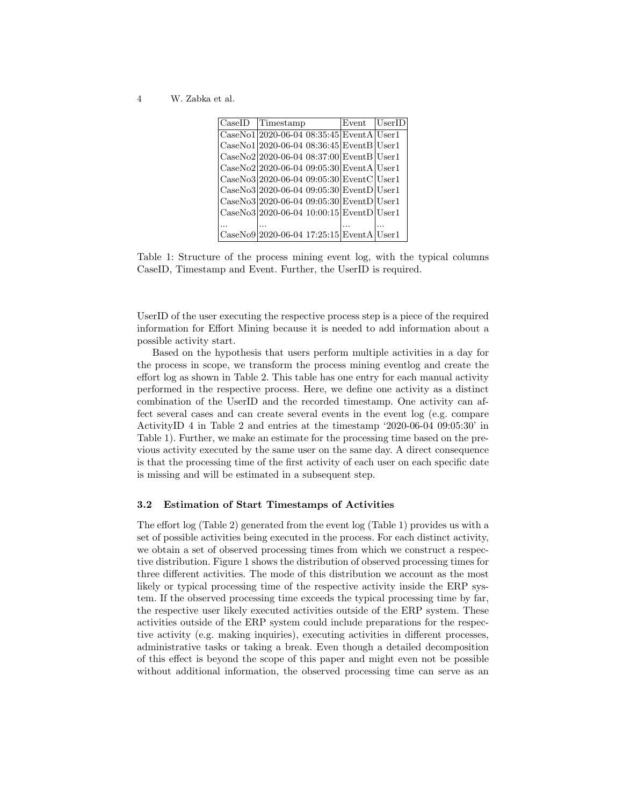4 W. Zabka et al.

| $\text{CaseID}$ Timestamp                                                                                   | Event - | <b>UserID</b> |
|-------------------------------------------------------------------------------------------------------------|---------|---------------|
| $\text{CaseNo1}\vert 2020\text{-}06\text{-}04\,08\text{:}35\text{:}45\vert \text{EventA}\vert \text{User1}$ |         |               |
| $CaseNo1 2020-06-0408:36:45 EventB User1$                                                                   |         |               |
| $\text{CaseNo2} 2020-06-04\,08:37:00 \text{EventB} {\text{User1}}$                                          |         |               |
| CaseNo2 2020-06-04 09:05:30 EventA User1                                                                    |         |               |
| $\text{CaseNo3} 2020-06-04\,09:05:30 \text{EventC} {\text{User1}}$                                          |         |               |
| CaseNo3 2020-06-04 09:05:30 EventD User1                                                                    |         |               |
| $\text{CaseNo3}\vert 2020\text{-}06\text{-}04\ 09:05:30\vert \text{EventD}\vert \text{User1}$               |         |               |
| $Case No3 2020-06-04 10:00:15 EventD User1$                                                                 |         |               |
|                                                                                                             |         |               |
| CaseNo9 2020-06-04 17:25:15 EventA User1                                                                    |         |               |

Table 1: Structure of the process mining event log, with the typical columns CaseID, Timestamp and Event. Further, the UserID is required.

UserID of the user executing the respective process step is a piece of the required information for Effort Mining because it is needed to add information about a possible activity start.

Based on the hypothesis that users perform multiple activities in a day for the process in scope, we transform the process mining eventlog and create the effort log as shown in Table 2. This table has one entry for each manual activity performed in the respective process. Here, we define one activity as a distinct combination of the UserID and the recorded timestamp. One activity can affect several cases and can create several events in the event log (e.g. compare ActivityID 4 in Table 2 and entries at the timestamp '2020-06-04 09:05:30' in Table 1). Further, we make an estimate for the processing time based on the previous activity executed by the same user on the same day. A direct consequence is that the processing time of the first activity of each user on each specific date is missing and will be estimated in a subsequent step.

#### 3.2 Estimation of Start Timestamps of Activities

The effort log (Table 2) generated from the event log (Table 1) provides us with a set of possible activities being executed in the process. For each distinct activity, we obtain a set of observed processing times from which we construct a respective distribution. Figure 1 shows the distribution of observed processing times for three different activities. The mode of this distribution we account as the most likely or typical processing time of the respective activity inside the ERP system. If the observed processing time exceeds the typical processing time by far, the respective user likely executed activities outside of the ERP system. These activities outside of the ERP system could include preparations for the respective activity (e.g. making inquiries), executing activities in different processes, administrative tasks or taking a break. Even though a detailed decomposition of this effect is beyond the scope of this paper and might even not be possible without additional information, the observed processing time can serve as an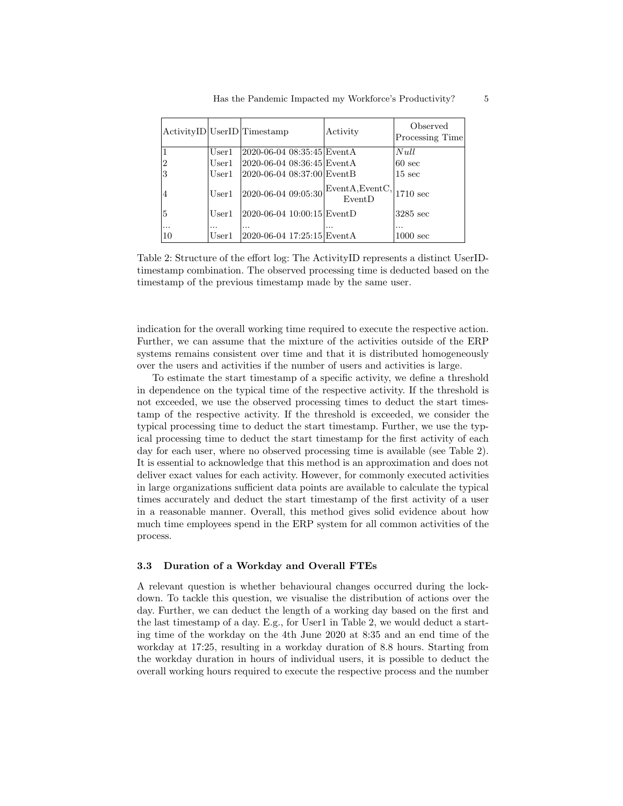|                |                   | ActivityID UserID Timestamp      | Activity                  | Observed<br>Processing Time |
|----------------|-------------------|----------------------------------|---------------------------|-----------------------------|
|                | User1             | 2020-06-04 08:35:45 Event A      |                           | Null                        |
| $\overline{2}$ | User1             | 2020-06-04-08:36:45 EventA       |                           | $60 \text{ sec}$            |
| 3              | User1             | 2020-06-04 08:37:00 EventB       |                           | $15 \text{ sec}$            |
| 4              | User1             | 2020-06-04 09:05:30              | EventA, EventC,<br>EventD | $1710 \text{ sec}$          |
| 5              | User1             | 2020-06-04 10:00:15 EventD       |                           | 3285 sec                    |
| $\cdots$<br>10 | $\cdots$<br>User1 | .<br>2020-06-04 17:25:15 Event A |                           | .<br>$1000 \text{ sec}$     |

Table 2: Structure of the effort log: The ActivityID represents a distinct UserIDtimestamp combination. The observed processing time is deducted based on the timestamp of the previous timestamp made by the same user.

indication for the overall working time required to execute the respective action. Further, we can assume that the mixture of the activities outside of the ERP systems remains consistent over time and that it is distributed homogeneously over the users and activities if the number of users and activities is large.

To estimate the start timestamp of a specific activity, we define a threshold in dependence on the typical time of the respective activity. If the threshold is not exceeded, we use the observed processing times to deduct the start timestamp of the respective activity. If the threshold is exceeded, we consider the typical processing time to deduct the start timestamp. Further, we use the typical processing time to deduct the start timestamp for the first activity of each day for each user, where no observed processing time is available (see Table 2). It is essential to acknowledge that this method is an approximation and does not deliver exact values for each activity. However, for commonly executed activities in large organizations sufficient data points are available to calculate the typical times accurately and deduct the start timestamp of the first activity of a user in a reasonable manner. Overall, this method gives solid evidence about how much time employees spend in the ERP system for all common activities of the process.

#### 3.3 Duration of a Workday and Overall FTEs

A relevant question is whether behavioural changes occurred during the lockdown. To tackle this question, we visualise the distribution of actions over the day. Further, we can deduct the length of a working day based on the first and the last timestamp of a day. E.g., for User1 in Table 2, we would deduct a starting time of the workday on the 4th June 2020 at 8:35 and an end time of the workday at 17:25, resulting in a workday duration of 8.8 hours. Starting from the workday duration in hours of individual users, it is possible to deduct the overall working hours required to execute the respective process and the number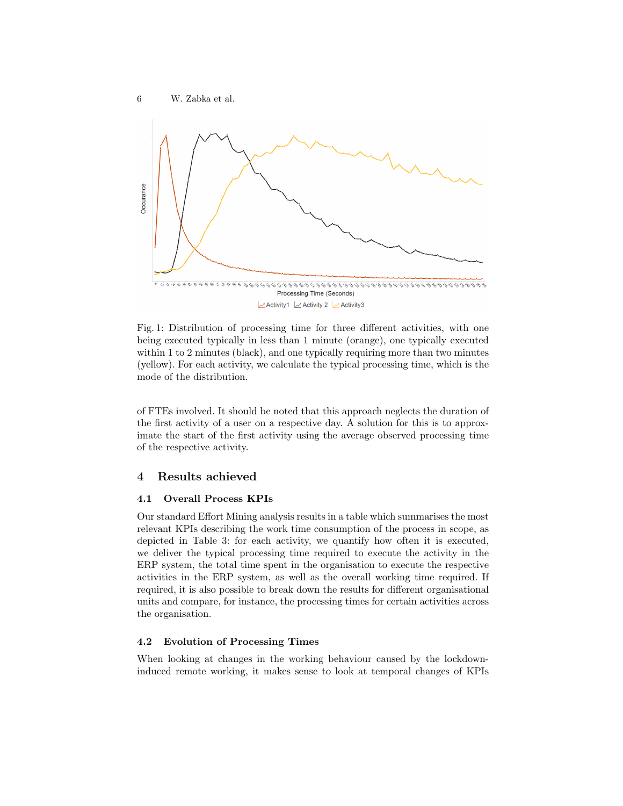

Fig. 1: Distribution of processing time for three different activities, with one being executed typically in less than 1 minute (orange), one typically executed within 1 to 2 minutes (black), and one typically requiring more than two minutes (yellow). For each activity, we calculate the typical processing time, which is the mode of the distribution.

of FTEs involved. It should be noted that this approach neglects the duration of the first activity of a user on a respective day. A solution for this is to approximate the start of the first activity using the average observed processing time of the respective activity.

# 4 Results achieved

#### 4.1 Overall Process KPIs

Our standard Effort Mining analysis results in a table which summarises the most relevant KPIs describing the work time consumption of the process in scope, as depicted in Table 3: for each activity, we quantify how often it is executed, we deliver the typical processing time required to execute the activity in the ERP system, the total time spent in the organisation to execute the respective activities in the ERP system, as well as the overall working time required. If required, it is also possible to break down the results for different organisational units and compare, for instance, the processing times for certain activities across the organisation.

### 4.2 Evolution of Processing Times

When looking at changes in the working behaviour caused by the lockdowninduced remote working, it makes sense to look at temporal changes of KPIs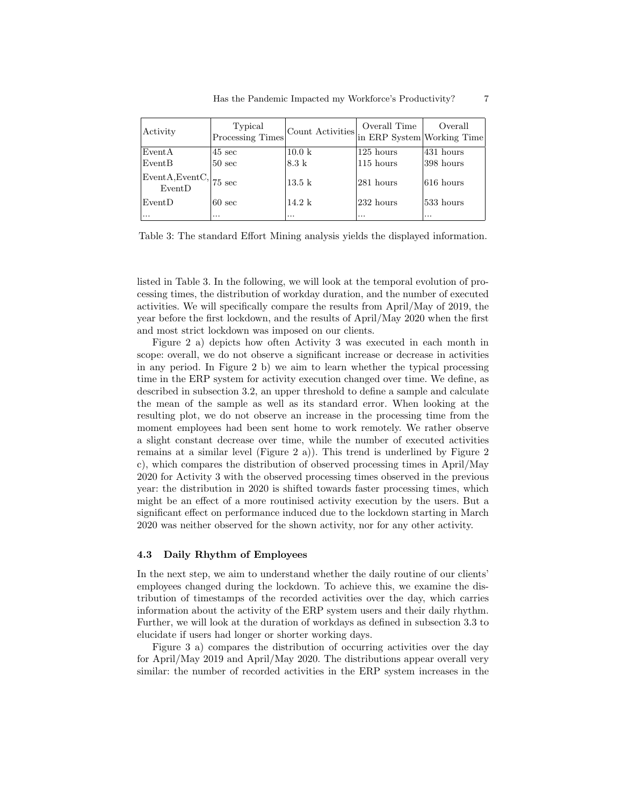| Activity                         | Typical<br>Processing Times | Count Activities $\Big \text{in ERP}$ System Working Time | Overall Time | Overall     |
|----------------------------------|-----------------------------|-----------------------------------------------------------|--------------|-------------|
| EventA                           | $45 \text{ sec}$            | $10.0\ \mathrm{k}$                                        | 125 hours    | 431 hours   |
| EventB                           | $50 \text{ sec}$            | $8.3 \text{ k}$                                           | $115$ hours  | 398 hours   |
| $\vert$ EventA,EventC,<br>EventD | $ 75 \text{ sec} $          | $13.5\;k$                                                 | 281 hours    | $616$ hours |
| EventD                           | $60 \text{ sec}$            | $14.2 \text{ k}$                                          | 232 hours    | 533 hours   |
| $\cdots$                         | $\cdots$                    | $\cdots$                                                  | $\cdots$     | $\cdots$    |

Table 3: The standard Effort Mining analysis yields the displayed information.

listed in Table 3. In the following, we will look at the temporal evolution of processing times, the distribution of workday duration, and the number of executed activities. We will specifically compare the results from April/May of 2019, the year before the first lockdown, and the results of April/May 2020 when the first and most strict lockdown was imposed on our clients.

Figure 2 a) depicts how often Activity 3 was executed in each month in scope: overall, we do not observe a significant increase or decrease in activities in any period. In Figure 2 b) we aim to learn whether the typical processing time in the ERP system for activity execution changed over time. We define, as described in subsection 3.2, an upper threshold to define a sample and calculate the mean of the sample as well as its standard error. When looking at the resulting plot, we do not observe an increase in the processing time from the moment employees had been sent home to work remotely. We rather observe a slight constant decrease over time, while the number of executed activities remains at a similar level (Figure 2 a)). This trend is underlined by Figure 2 c), which compares the distribution of observed processing times in April/May 2020 for Activity 3 with the observed processing times observed in the previous year: the distribution in 2020 is shifted towards faster processing times, which might be an effect of a more routinised activity execution by the users. But a significant effect on performance induced due to the lockdown starting in March 2020 was neither observed for the shown activity, nor for any other activity.

#### 4.3 Daily Rhythm of Employees

In the next step, we aim to understand whether the daily routine of our clients' employees changed during the lockdown. To achieve this, we examine the distribution of timestamps of the recorded activities over the day, which carries information about the activity of the ERP system users and their daily rhythm. Further, we will look at the duration of workdays as defined in subsection 3.3 to elucidate if users had longer or shorter working days.

Figure 3 a) compares the distribution of occurring activities over the day for April/May 2019 and April/May 2020. The distributions appear overall very similar: the number of recorded activities in the ERP system increases in the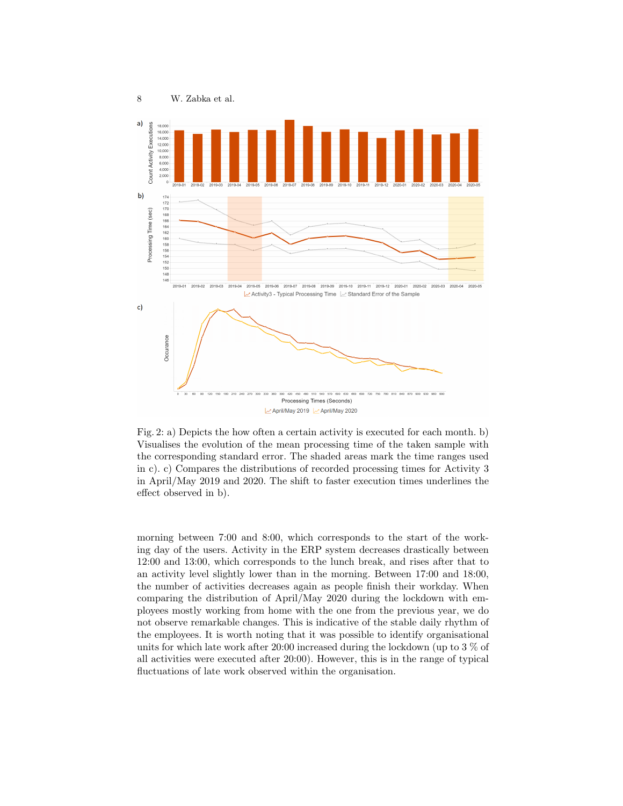

April/May 2019 2 April/May 2020

Fig. 2: a) Depicts the how often a certain activity is executed for each month. b) Visualises the evolution of the mean processing time of the taken sample with the corresponding standard error. The shaded areas mark the time ranges used in c). c) Compares the distributions of recorded processing times for Activity 3 in April/May 2019 and 2020. The shift to faster execution times underlines the effect observed in b).

morning between 7:00 and 8:00, which corresponds to the start of the working day of the users. Activity in the ERP system decreases drastically between 12:00 and 13:00, which corresponds to the lunch break, and rises after that to an activity level slightly lower than in the morning. Between 17:00 and 18:00, the number of activities decreases again as people finish their workday. When comparing the distribution of April/May 2020 during the lockdown with employees mostly working from home with the one from the previous year, we do not observe remarkable changes. This is indicative of the stable daily rhythm of the employees. It is worth noting that it was possible to identify organisational units for which late work after 20:00 increased during the lockdown (up to 3 % of all activities were executed after 20:00). However, this is in the range of typical fluctuations of late work observed within the organisation.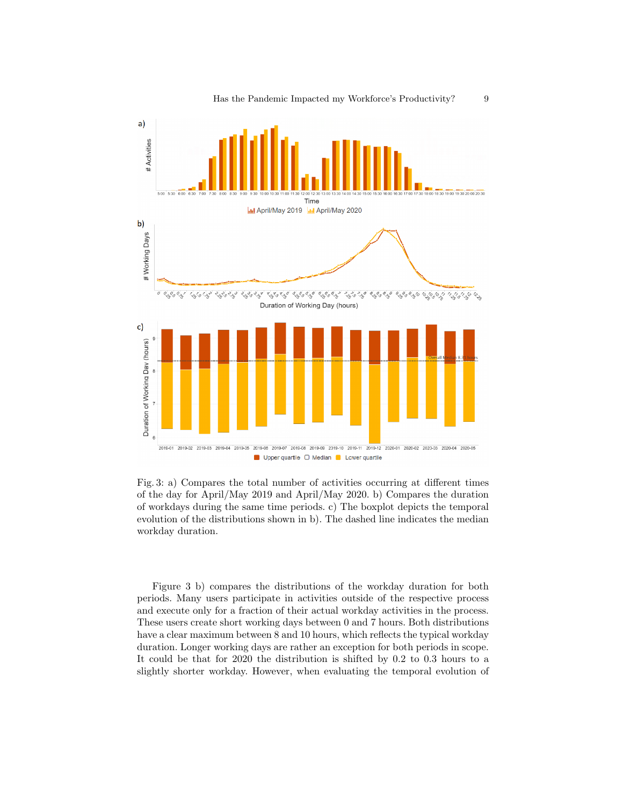

Fig. 3: a) Compares the total number of activities occurring at different times of the day for April/May 2019 and April/May 2020. b) Compares the duration of workdays during the same time periods. c) The boxplot depicts the temporal evolution of the distributions shown in b). The dashed line indicates the median workday duration.

Figure 3 b) compares the distributions of the workday duration for both periods. Many users participate in activities outside of the respective process and execute only for a fraction of their actual workday activities in the process. These users create short working days between 0 and 7 hours. Both distributions have a clear maximum between 8 and 10 hours, which reflects the typical workday duration. Longer working days are rather an exception for both periods in scope. It could be that for 2020 the distribution is shifted by 0.2 to 0.3 hours to a slightly shorter workday. However, when evaluating the temporal evolution of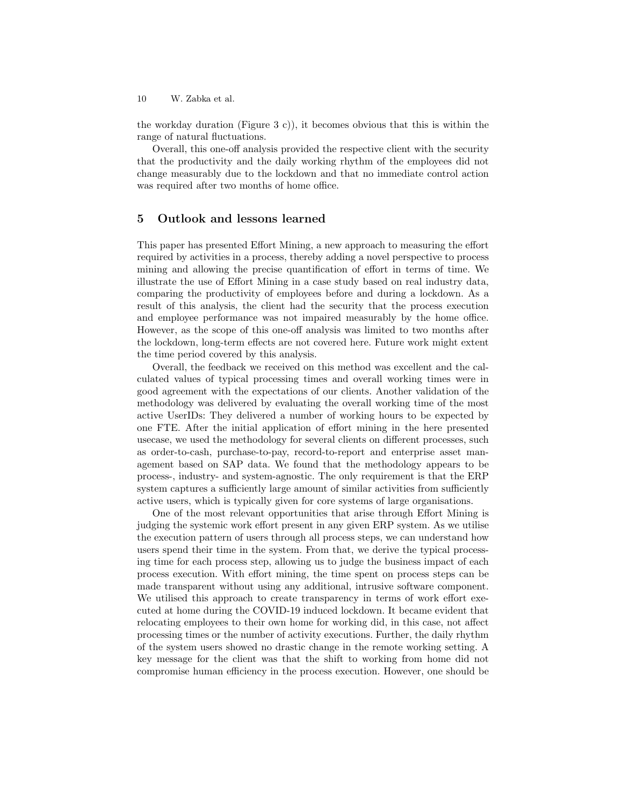10 W. Zabka et al.

the workday duration (Figure 3 c)), it becomes obvious that this is within the range of natural fluctuations.

Overall, this one-off analysis provided the respective client with the security that the productivity and the daily working rhythm of the employees did not change measurably due to the lockdown and that no immediate control action was required after two months of home office.

### 5 Outlook and lessons learned

This paper has presented Effort Mining, a new approach to measuring the effort required by activities in a process, thereby adding a novel perspective to process mining and allowing the precise quantification of effort in terms of time. We illustrate the use of Effort Mining in a case study based on real industry data, comparing the productivity of employees before and during a lockdown. As a result of this analysis, the client had the security that the process execution and employee performance was not impaired measurably by the home office. However, as the scope of this one-off analysis was limited to two months after the lockdown, long-term effects are not covered here. Future work might extent the time period covered by this analysis.

Overall, the feedback we received on this method was excellent and the calculated values of typical processing times and overall working times were in good agreement with the expectations of our clients. Another validation of the methodology was delivered by evaluating the overall working time of the most active UserIDs: They delivered a number of working hours to be expected by one FTE. After the initial application of effort mining in the here presented usecase, we used the methodology for several clients on different processes, such as order-to-cash, purchase-to-pay, record-to-report and enterprise asset management based on SAP data. We found that the methodology appears to be process-, industry- and system-agnostic. The only requirement is that the ERP system captures a sufficiently large amount of similar activities from sufficiently active users, which is typically given for core systems of large organisations.

One of the most relevant opportunities that arise through Effort Mining is judging the systemic work effort present in any given ERP system. As we utilise the execution pattern of users through all process steps, we can understand how users spend their time in the system. From that, we derive the typical processing time for each process step, allowing us to judge the business impact of each process execution. With effort mining, the time spent on process steps can be made transparent without using any additional, intrusive software component. We utilised this approach to create transparency in terms of work effort executed at home during the COVID-19 induced lockdown. It became evident that relocating employees to their own home for working did, in this case, not affect processing times or the number of activity executions. Further, the daily rhythm of the system users showed no drastic change in the remote working setting. A key message for the client was that the shift to working from home did not compromise human efficiency in the process execution. However, one should be